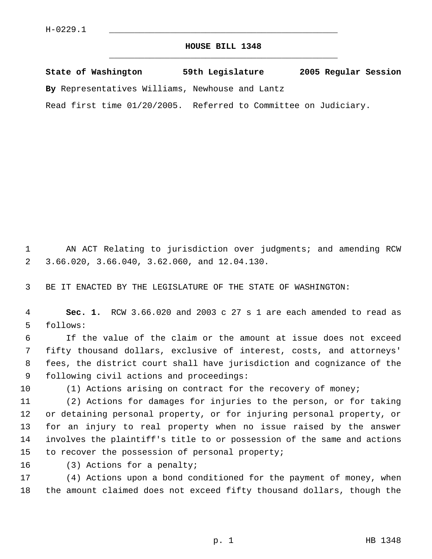## **HOUSE BILL 1348** \_\_\_\_\_\_\_\_\_\_\_\_\_\_\_\_\_\_\_\_\_\_\_\_\_\_\_\_\_\_\_\_\_\_\_\_\_\_\_\_\_\_\_\_\_

**State of Washington 59th Legislature 2005 Regular Session By** Representatives Williams, Newhouse and Lantz

Read first time 01/20/2005. Referred to Committee on Judiciary.

 AN ACT Relating to jurisdiction over judgments; and amending RCW 3.66.020, 3.66.040, 3.62.060, and 12.04.130.

BE IT ENACTED BY THE LEGISLATURE OF THE STATE OF WASHINGTON:

 **Sec. 1.** RCW 3.66.020 and 2003 c 27 s 1 are each amended to read as follows:

 If the value of the claim or the amount at issue does not exceed fifty thousand dollars, exclusive of interest, costs, and attorneys' fees, the district court shall have jurisdiction and cognizance of the following civil actions and proceedings:

(1) Actions arising on contract for the recovery of money;

 (2) Actions for damages for injuries to the person, or for taking or detaining personal property, or for injuring personal property, or for an injury to real property when no issue raised by the answer involves the plaintiff's title to or possession of the same and actions 15 to recover the possession of personal property;

(3) Actions for a penalty;

 (4) Actions upon a bond conditioned for the payment of money, when the amount claimed does not exceed fifty thousand dollars, though the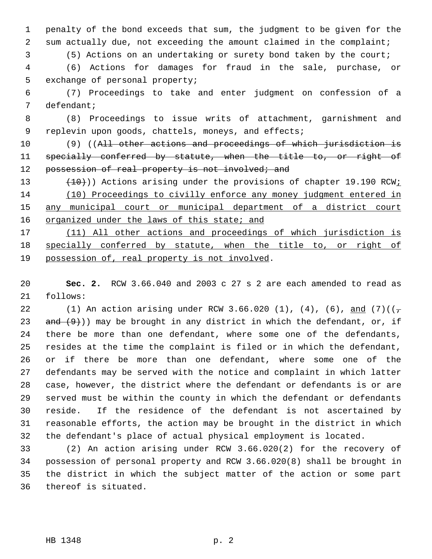penalty of the bond exceeds that sum, the judgment to be given for the sum actually due, not exceeding the amount claimed in the complaint;

(5) Actions on an undertaking or surety bond taken by the court;

 (6) Actions for damages for fraud in the sale, purchase, or exchange of personal property;

 (7) Proceedings to take and enter judgment on confession of a defendant;

 (8) Proceedings to issue writs of attachment, garnishment and replevin upon goods, chattels, moneys, and effects;

10 (9) ((All other actions and proceedings of which jurisdiction is 11 specially conferred by statute, when the title to, or right of 12 possession of real property is not involved; and

13 (10)) Actions arising under the provisions of chapter 19.190 RCW; (10) Proceedings to civilly enforce any money judgment entered in any municipal court or municipal department of a district court 16 organized under the laws of this state; and

 (11) All other actions and proceedings of which jurisdiction is 18 specially conferred by statute, when the title to, or right of 19 possession of, real property is not involved.

 **Sec. 2.** RCW 3.66.040 and 2003 c 27 s 2 are each amended to read as follows:

22 (1) An action arising under RCW 3.66.020 (1), (4), (6), and (7)(( $\tau$ 23 and  $(9)$ )) may be brought in any district in which the defendant, or, if there be more than one defendant, where some one of the defendants, resides at the time the complaint is filed or in which the defendant, or if there be more than one defendant, where some one of the defendants may be served with the notice and complaint in which latter case, however, the district where the defendant or defendants is or are served must be within the county in which the defendant or defendants reside. If the residence of the defendant is not ascertained by reasonable efforts, the action may be brought in the district in which the defendant's place of actual physical employment is located.

 (2) An action arising under RCW 3.66.020(2) for the recovery of possession of personal property and RCW 3.66.020(8) shall be brought in the district in which the subject matter of the action or some part thereof is situated.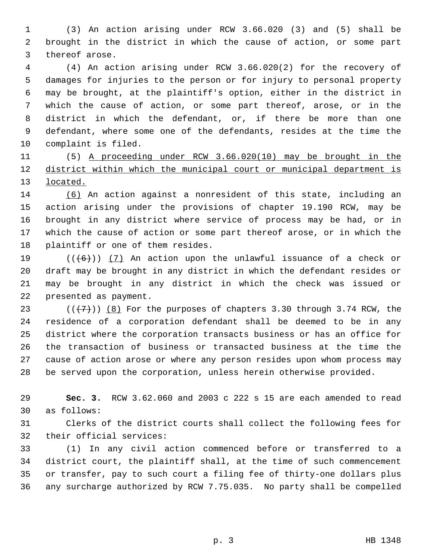(3) An action arising under RCW 3.66.020 (3) and (5) shall be brought in the district in which the cause of action, or some part thereof arose.

 (4) An action arising under RCW 3.66.020(2) for the recovery of damages for injuries to the person or for injury to personal property may be brought, at the plaintiff's option, either in the district in which the cause of action, or some part thereof, arose, or in the district in which the defendant, or, if there be more than one defendant, where some one of the defendants, resides at the time the complaint is filed.

 (5) A proceeding under RCW 3.66.020(10) may be brought in the district within which the municipal court or municipal department is located.

 (6) An action against a nonresident of this state, including an action arising under the provisions of chapter 19.190 RCW, may be brought in any district where service of process may be had, or in which the cause of action or some part thereof arose, or in which the plaintiff or one of them resides.

 $((\langle 6 \rangle) )$  (7) An action upon the unlawful issuance of a check or draft may be brought in any district in which the defendant resides or may be brought in any district in which the check was issued or presented as payment.

23 ( $(\overline{\{7\}})$ ) (8) For the purposes of chapters 3.30 through 3.74 RCW, the residence of a corporation defendant shall be deemed to be in any district where the corporation transacts business or has an office for the transaction of business or transacted business at the time the cause of action arose or where any person resides upon whom process may be served upon the corporation, unless herein otherwise provided.

 **Sec. 3.** RCW 3.62.060 and 2003 c 222 s 15 are each amended to read as follows:

 Clerks of the district courts shall collect the following fees for their official services:

 (1) In any civil action commenced before or transferred to a district court, the plaintiff shall, at the time of such commencement or transfer, pay to such court a filing fee of thirty-one dollars plus any surcharge authorized by RCW 7.75.035. No party shall be compelled